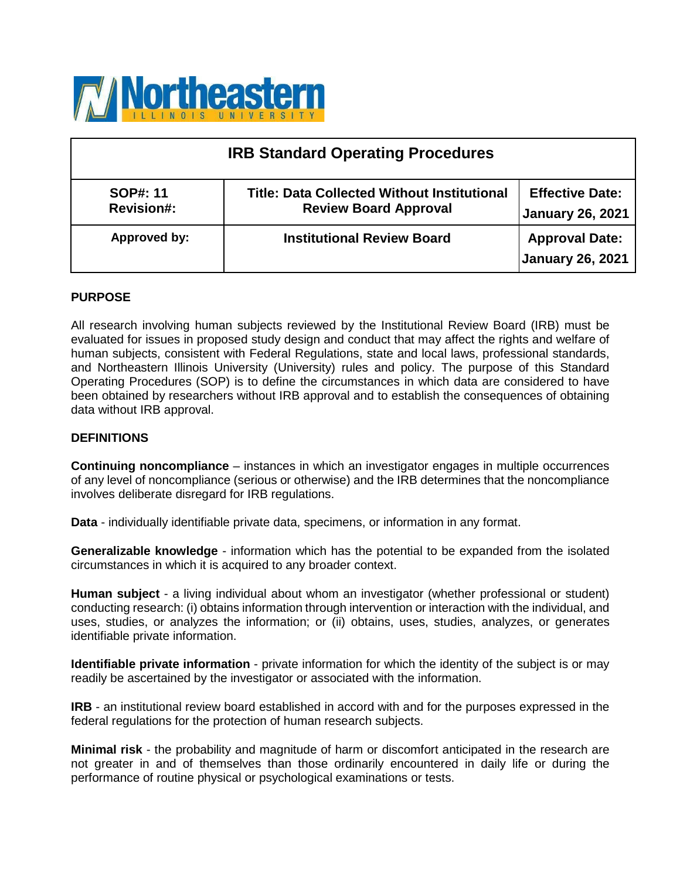

| <b>IRB Standard Operating Procedures</b> |                                                                                    |                                                   |  |
|------------------------------------------|------------------------------------------------------------------------------------|---------------------------------------------------|--|
| <b>SOP#: 11</b><br><b>Revision#:</b>     | <b>Title: Data Collected Without Institutional</b><br><b>Review Board Approval</b> | <b>Effective Date:</b><br><b>January 26, 2021</b> |  |
| Approved by:                             | <b>Institutional Review Board</b>                                                  | <b>Approval Date:</b><br><b>January 26, 2021</b>  |  |

## **PURPOSE**

All research involving human subjects reviewed by the Institutional Review Board (IRB) must be evaluated for issues in proposed study design and conduct that may affect the rights and welfare of human subjects, consistent with Federal Regulations, state and local laws, professional standards, and Northeastern Illinois University (University) rules and policy. The purpose of this Standard Operating Procedures (SOP) is to define the circumstances in which data are considered to have been obtained by researchers without IRB approval and to establish the consequences of obtaining data without IRB approval.

## **DEFINITIONS**

**Continuing noncompliance** – instances in which an investigator engages in multiple occurrences of any level of noncompliance (serious or otherwise) and the IRB determines that the noncompliance involves deliberate disregard for IRB regulations.

**Data** - individually identifiable private data, specimens, or information in any format.

**Generalizable knowledge** - information which has the potential to be expanded from the isolated circumstances in which it is acquired to any broader context.

**Human subject** - a living individual about whom an investigator (whether professional or student) conducting research: (i) obtains information through intervention or interaction with the individual, and uses, studies, or analyzes the information; or (ii) obtains, uses, studies, analyzes, or generates identifiable private information.

**Identifiable private information** - private information for which the identity of the subject is or may readily be ascertained by the investigator or associated with the information.

**IRB** - an institutional review board established in accord with and for the purposes expressed in the federal regulations for the protection of human research subjects.

**Minimal risk** - the probability and magnitude of harm or discomfort anticipated in the research are not greater in and of themselves than those ordinarily encountered in daily life or during the performance of routine physical or psychological examinations or tests.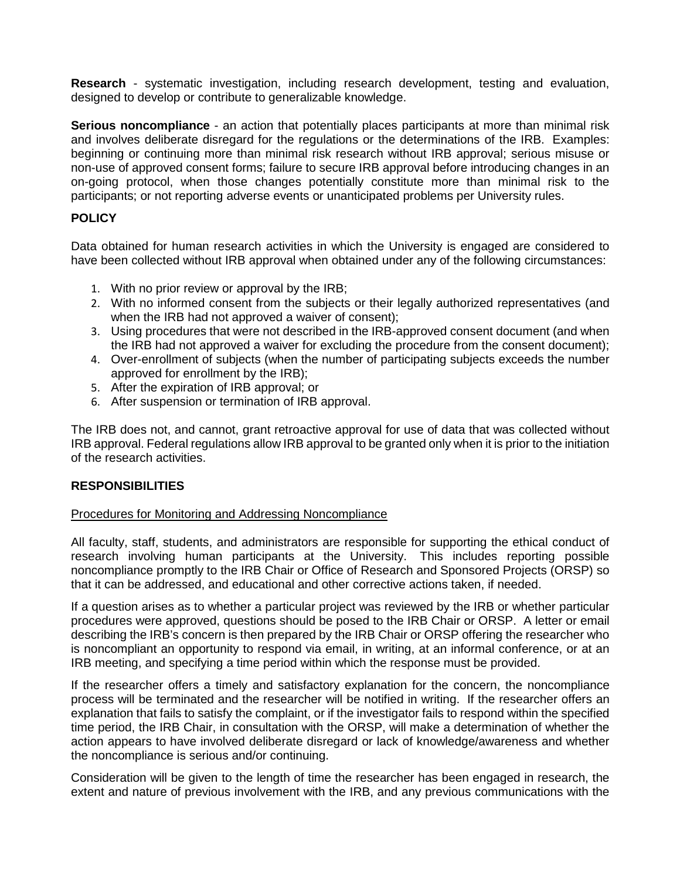**Research** - systematic investigation, including research development, testing and evaluation, designed to develop or contribute to generalizable knowledge.

**Serious noncompliance** - an action that potentially places participants at more than minimal risk and involves deliberate disregard for the regulations or the determinations of the IRB. Examples: beginning or continuing more than minimal risk research without IRB approval; serious misuse or non-use of approved consent forms; failure to secure IRB approval before introducing changes in an on-going protocol, when those changes potentially constitute more than minimal risk to the participants; or not reporting adverse events or unanticipated problems per University rules.

# **POLICY**

Data obtained for human research activities in which the University is engaged are considered to have been collected without IRB approval when obtained under any of the following circumstances:

- 1. With no prior review or approval by the IRB;
- 2. With no informed consent from the subjects or their legally authorized representatives (and when the IRB had not approved a waiver of consent);
- 3. Using procedures that were not described in the IRB-approved consent document (and when the IRB had not approved a waiver for excluding the procedure from the consent document);
- 4. Over-enrollment of subjects (when the number of participating subjects exceeds the number approved for enrollment by the IRB);
- 5. After the expiration of IRB approval; or
- 6. After suspension or termination of IRB approval.

The IRB does not, and cannot, grant retroactive approval for use of data that was collected without IRB approval. Federal regulations allow IRB approval to be granted only when it is prior to the initiation of the research activities.

## **RESPONSIBILITIES**

## Procedures for Monitoring and Addressing Noncompliance

All faculty, staff, students, and administrators are responsible for supporting the ethical conduct of research involving human participants at the University. This includes reporting possible noncompliance promptly to the IRB Chair or Office of Research and Sponsored Projects (ORSP) so that it can be addressed, and educational and other corrective actions taken, if needed.

If a question arises as to whether a particular project was reviewed by the IRB or whether particular procedures were approved, questions should be posed to the IRB Chair or ORSP. A letter or email describing the IRB's concern is then prepared by the IRB Chair or ORSP offering the researcher who is noncompliant an opportunity to respond via email, in writing, at an informal conference, or at an IRB meeting, and specifying a time period within which the response must be provided.

If the researcher offers a timely and satisfactory explanation for the concern, the noncompliance process will be terminated and the researcher will be notified in writing. If the researcher offers an explanation that fails to satisfy the complaint, or if the investigator fails to respond within the specified time period, the IRB Chair, in consultation with the ORSP, will make a determination of whether the action appears to have involved deliberate disregard or lack of knowledge/awareness and whether the noncompliance is serious and/or continuing.

Consideration will be given to the length of time the researcher has been engaged in research, the extent and nature of previous involvement with the IRB, and any previous communications with the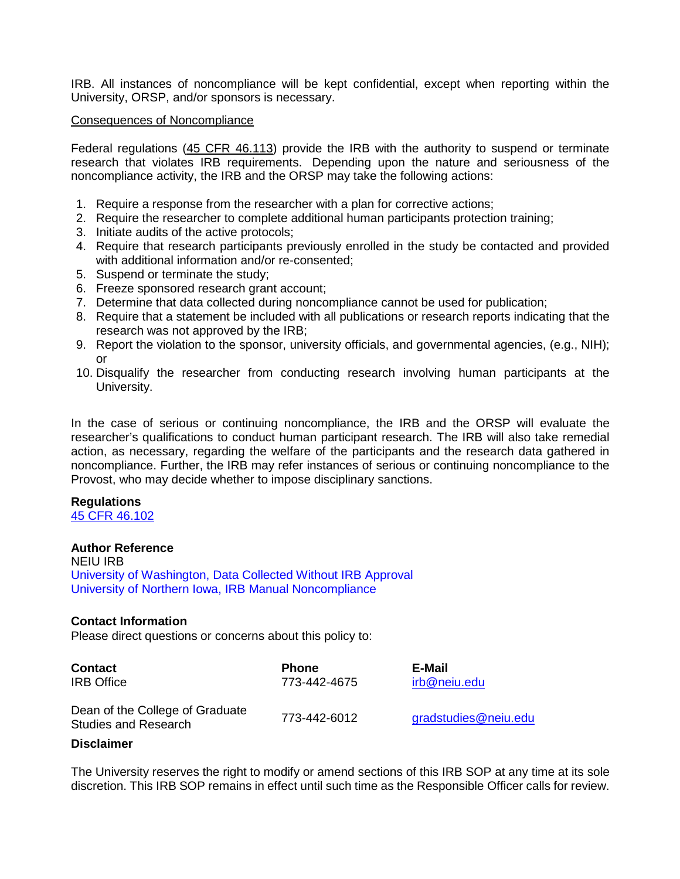IRB. All instances of noncompliance will be kept confidential, except when reporting within the University, ORSP, and/or sponsors is necessary.

#### Consequences of Noncompliance

Federal regulations [\(45 CFR 46.113\)](https://www.ecfr.gov/cgi-bin/text-idx?SID=e9a8e02d892ec96772b0b82b1150e229&mc=true&node=se45.1.46_1113&rgn=div8) provide the IRB with the authority to suspend or terminate research that violates IRB requirements. Depending upon the nature and seriousness of the noncompliance activity, the IRB and the ORSP may take the following actions:

- 1. Require a response from the researcher with a plan for corrective actions;
- 2. Require the researcher to complete additional human participants protection training;
- 3. Initiate audits of the active protocols;
- 4. Require that research participants previously enrolled in the study be contacted and provided with additional information and/or re-consented;
- 5. Suspend or terminate the study;
- 6. Freeze sponsored research grant account;
- 7. Determine that data collected during noncompliance cannot be used for publication;
- 8. Require that a statement be included with all publications or research reports indicating that the research was not approved by the IRB;
- 9. Report the violation to the sponsor, university officials, and governmental agencies, (e.g., NIH); or
- 10. Disqualify the researcher from conducting research involving human participants at the University.

In the case of serious or continuing noncompliance, the IRB and the ORSP will evaluate the researcher's qualifications to conduct human participant research. The IRB will also take remedial action, as necessary, regarding the welfare of the participants and the research data gathered in noncompliance. Further, the IRB may refer instances of serious or continuing noncompliance to the Provost, who may decide whether to impose disciplinary sanctions.

## **Regulations**

[45 CFR 46.102](https://www.ecfr.gov/cgi-bin/retrieveECFR?gp&SID=83cd09e1c0f5c6937cd9d7513160fc3f&pitd=20180719&n=pt45.1.46&r=PART&ty=HTML&se45.1.46_1102)

## **Author Reference**

NEIU IRB [University of Washington, Data Collected Without IRB Approval](https://www.washington.edu/research/policies/sop-data-collected-without-irb-approval-2/) [University of Northern Iowa, IRB Manual Noncompliance](https://rsp.uni.edu/irb-manual-noncompliance)

## **Contact Information**

Please direct questions or concerns about this policy to:

| <b>Contact</b><br><b>IRB</b> Office                            | <b>Phone</b><br>773-442-4675 | E-Mail<br>irb@neiu.edu |
|----------------------------------------------------------------|------------------------------|------------------------|
| Dean of the College of Graduate<br><b>Studies and Research</b> | 773-442-6012                 | gradstudies@neiu.edu   |
|                                                                |                              |                        |

#### **Disclaimer**

The University reserves the right to modify or amend sections of this IRB SOP at any time at its sole discretion. This IRB SOP remains in effect until such time as the Responsible Officer calls for review.